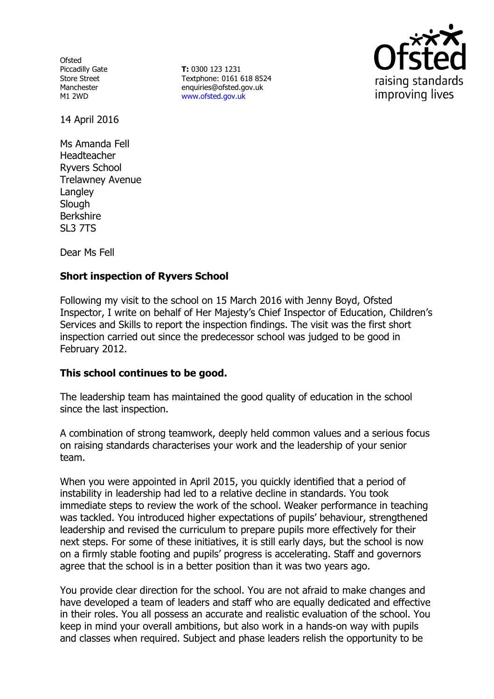**Ofsted** Piccadilly Gate Store Street Manchester M1 2WD

**T:** 0300 123 1231 Textphone: 0161 618 8524 enquiries@ofsted.gov.uk www.ofsted.gov.uk



14 April 2016

Ms Amanda Fell Headteacher Ryvers School Trelawney Avenue **Langley Slough** Berkshire SL3 7TS

Dear Ms Fell

## **Short inspection of Ryvers School**

Following my visit to the school on 15 March 2016 with Jenny Boyd, Ofsted Inspector, I write on behalf of Her Majesty's Chief Inspector of Education, Children's Services and Skills to report the inspection findings. The visit was the first short inspection carried out since the predecessor school was judged to be good in February 2012.

### **This school continues to be good.**

The leadership team has maintained the good quality of education in the school since the last inspection.

A combination of strong teamwork, deeply held common values and a serious focus on raising standards characterises your work and the leadership of your senior team.

When you were appointed in April 2015, you quickly identified that a period of instability in leadership had led to a relative decline in standards. You took immediate steps to review the work of the school. Weaker performance in teaching was tackled. You introduced higher expectations of pupils' behaviour, strengthened leadership and revised the curriculum to prepare pupils more effectively for their next steps. For some of these initiatives, it is still early days, but the school is now on a firmly stable footing and pupils' progress is accelerating. Staff and governors agree that the school is in a better position than it was two years ago.

You provide clear direction for the school. You are not afraid to make changes and have developed a team of leaders and staff who are equally dedicated and effective in their roles. You all possess an accurate and realistic evaluation of the school. You keep in mind your overall ambitions, but also work in a hands-on way with pupils and classes when required. Subject and phase leaders relish the opportunity to be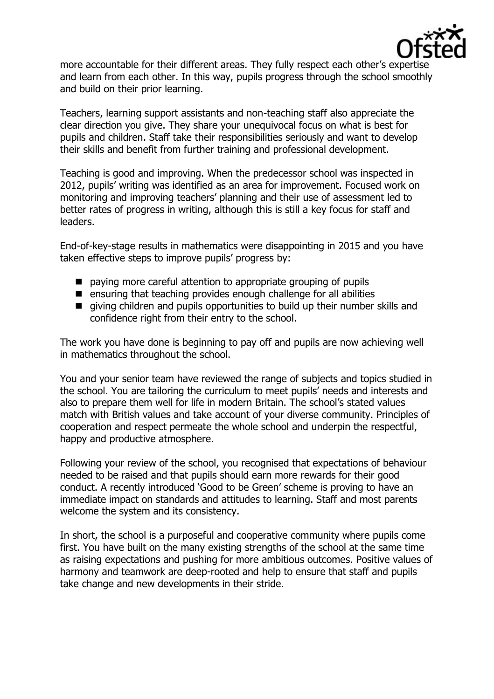

more accountable for their different areas. They fully respect each other's expertise and learn from each other. In this way, pupils progress through the school smoothly and build on their prior learning.

Teachers, learning support assistants and non-teaching staff also appreciate the clear direction you give. They share your unequivocal focus on what is best for pupils and children. Staff take their responsibilities seriously and want to develop their skills and benefit from further training and professional development.

Teaching is good and improving. When the predecessor school was inspected in 2012, pupils' writing was identified as an area for improvement. Focused work on monitoring and improving teachers' planning and their use of assessment led to better rates of progress in writing, although this is still a key focus for staff and leaders.

End-of-key-stage results in mathematics were disappointing in 2015 and you have taken effective steps to improve pupils' progress by:

- paying more careful attention to appropriate grouping of pupils
- $\blacksquare$  ensuring that teaching provides enough challenge for all abilities
- qiving children and pupils opportunities to build up their number skills and confidence right from their entry to the school.

The work you have done is beginning to pay off and pupils are now achieving well in mathematics throughout the school.

You and your senior team have reviewed the range of subjects and topics studied in the school. You are tailoring the curriculum to meet pupils' needs and interests and also to prepare them well for life in modern Britain. The school's stated values match with British values and take account of your diverse community. Principles of cooperation and respect permeate the whole school and underpin the respectful, happy and productive atmosphere.

Following your review of the school, you recognised that expectations of behaviour needed to be raised and that pupils should earn more rewards for their good conduct. A recently introduced 'Good to be Green' scheme is proving to have an immediate impact on standards and attitudes to learning. Staff and most parents welcome the system and its consistency.

In short, the school is a purposeful and cooperative community where pupils come first. You have built on the many existing strengths of the school at the same time as raising expectations and pushing for more ambitious outcomes. Positive values of harmony and teamwork are deep-rooted and help to ensure that staff and pupils take change and new developments in their stride.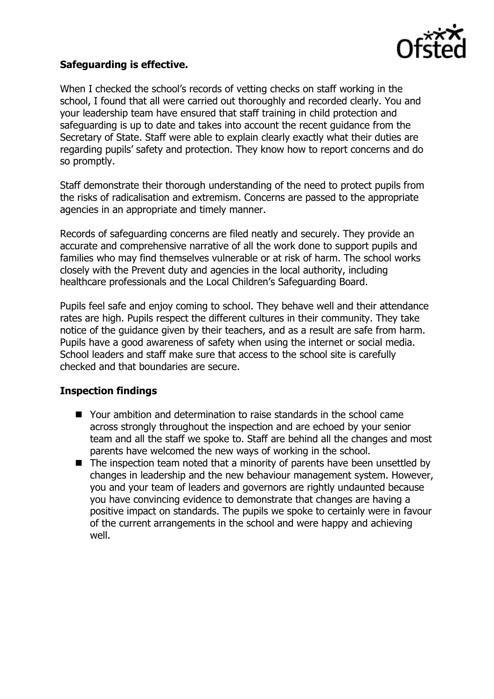

## **Safeguarding is effective.**

When I checked the school's records of vetting checks on staff working in the school, I found that all were carried out thoroughly and recorded clearly. You and your leadership team have ensured that staff training in child protection and safeguarding is up to date and takes into account the recent guidance from the Secretary of State. Staff were able to explain clearly exactly what their duties are regarding pupils' safety and protection. They know how to report concerns and do so promptly.

Staff demonstrate their thorough understanding of the need to protect pupils from the risks of radicalisation and extremism. Concerns are passed to the appropriate agencies in an appropriate and timely manner.

Records of safeguarding concerns are filed neatly and securely. They provide an accurate and comprehensive narrative of all the work done to support pupils and families who may find themselves vulnerable or at risk of harm. The school works closely with the Prevent duty and agencies in the local authority, including healthcare professionals and the Local Children's Safeguarding Board.

Pupils feel safe and enjoy coming to school. They behave well and their attendance rates are high. Pupils respect the different cultures in their community. They take notice of the guidance given by their teachers, and as a result are safe from harm. Pupils have a good awareness of safety when using the internet or social media. School leaders and staff make sure that access to the school site is carefully checked and that boundaries are secure.

### **Inspection findings**

- Your ambition and determination to raise standards in the school came across strongly throughout the inspection and are echoed by your senior team and all the staff we spoke to. Staff are behind all the changes and most parents have welcomed the new ways of working in the school.
- The inspection team noted that a minority of parents have been unsettled by changes in leadership and the new behaviour management system. However, you and your team of leaders and governors are rightly undaunted because you have convincing evidence to demonstrate that changes are having a positive impact on standards. The pupils we spoke to certainly were in favour of the current arrangements in the school and were happy and achieving well.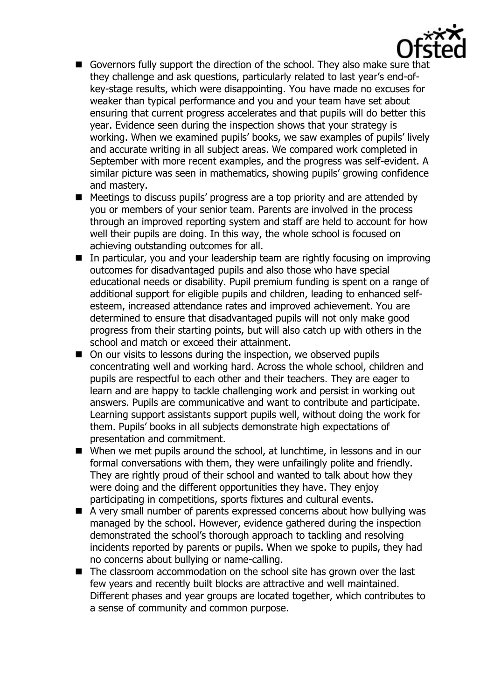

- Governors fully support the direction of the school. They also make sure that they challenge and ask questions, particularly related to last year's end-ofkey-stage results, which were disappointing. You have made no excuses for weaker than typical performance and you and your team have set about ensuring that current progress accelerates and that pupils will do better this year. Evidence seen during the inspection shows that your strategy is working. When we examined pupils' books, we saw examples of pupils' lively and accurate writing in all subject areas. We compared work completed in September with more recent examples, and the progress was self-evident. A similar picture was seen in mathematics, showing pupils' growing confidence and mastery.
- Meetings to discuss pupils' progress are a top priority and are attended by you or members of your senior team. Parents are involved in the process through an improved reporting system and staff are held to account for how well their pupils are doing. In this way, the whole school is focused on achieving outstanding outcomes for all.
- In particular, you and your leadership team are rightly focusing on improving outcomes for disadvantaged pupils and also those who have special educational needs or disability. Pupil premium funding is spent on a range of additional support for eligible pupils and children, leading to enhanced selfesteem, increased attendance rates and improved achievement. You are determined to ensure that disadvantaged pupils will not only make good progress from their starting points, but will also catch up with others in the school and match or exceed their attainment.
- On our visits to lessons during the inspection, we observed pupils concentrating well and working hard. Across the whole school, children and pupils are respectful to each other and their teachers. They are eager to learn and are happy to tackle challenging work and persist in working out answers. Pupils are communicative and want to contribute and participate. Learning support assistants support pupils well, without doing the work for them. Pupils' books in all subjects demonstrate high expectations of presentation and commitment.
- When we met pupils around the school, at lunchtime, in lessons and in our formal conversations with them, they were unfailingly polite and friendly. They are rightly proud of their school and wanted to talk about how they were doing and the different opportunities they have. They enjoy participating in competitions, sports fixtures and cultural events.
- A very small number of parents expressed concerns about how bullying was managed by the school. However, evidence gathered during the inspection demonstrated the school's thorough approach to tackling and resolving incidents reported by parents or pupils. When we spoke to pupils, they had no concerns about bullying or name-calling.
- The classroom accommodation on the school site has grown over the last few years and recently built blocks are attractive and well maintained. Different phases and year groups are located together, which contributes to a sense of community and common purpose.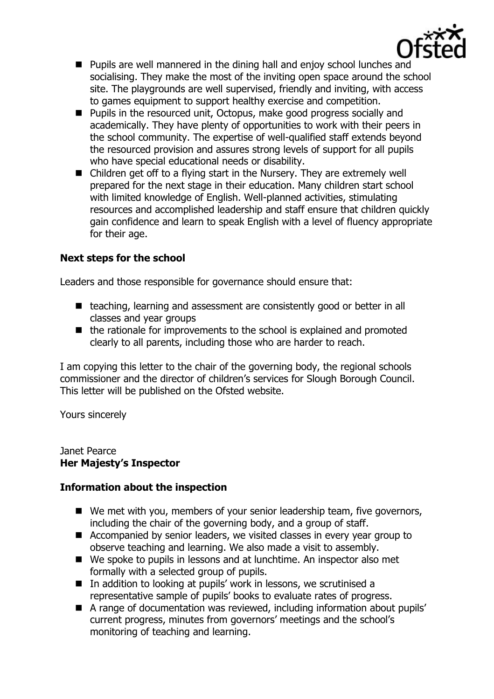

- $\blacksquare$  Pupils are well mannered in the dining hall and enjoy school lunches and socialising. They make the most of the inviting open space around the school site. The playgrounds are well supervised, friendly and inviting, with access to games equipment to support healthy exercise and competition.
- **Pupils in the resourced unit, Octopus, make good progress socially and** academically. They have plenty of opportunities to work with their peers in the school community. The expertise of well-qualified staff extends beyond the resourced provision and assures strong levels of support for all pupils who have special educational needs or disability.
- Children get off to a flying start in the Nursery. They are extremely well prepared for the next stage in their education. Many children start school with limited knowledge of English. Well-planned activities, stimulating resources and accomplished leadership and staff ensure that children quickly gain confidence and learn to speak English with a level of fluency appropriate for their age.

# **Next steps for the school**

Leaders and those responsible for governance should ensure that:

- teaching, learning and assessment are consistently good or better in all classes and year groups
- $\blacksquare$  the rationale for improvements to the school is explained and promoted clearly to all parents, including those who are harder to reach.

I am copying this letter to the chair of the governing body, the regional schools commissioner and the director of children's services for Slough Borough Council. This letter will be published on the Ofsted website.

Yours sincerely

#### Janet Pearce **Her Majesty's Inspector**

# **Information about the inspection**

- We met with you, members of your senior leadership team, five governors, including the chair of the governing body, and a group of staff.
- Accompanied by senior leaders, we visited classes in every year group to observe teaching and learning. We also made a visit to assembly.
- We spoke to pupils in lessons and at lunchtime. An inspector also met formally with a selected group of pupils.
- In addition to looking at pupils' work in lessons, we scrutinised a representative sample of pupils' books to evaluate rates of progress.
- A range of documentation was reviewed, including information about pupils' current progress, minutes from governors' meetings and the school's monitoring of teaching and learning.